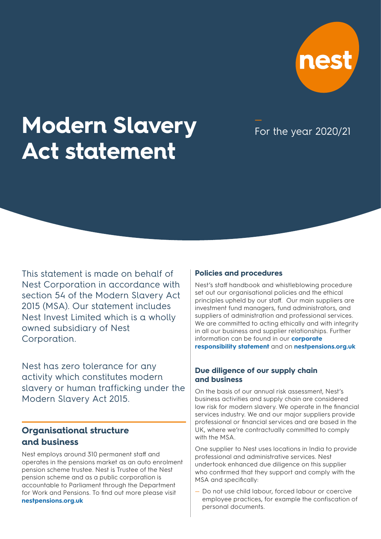

# **Modern Slavery Act statement**

For the year 2020/21

This statement is made on behalf of Nest Corporation in accordance with section 54 of the Modern Slavery Act 2015 (MSA). Our statement includes Nest Invest Limited which is a wholly owned subsidiary of Nest Corporation.

Nest has zero tolerance for any activity which constitutes modern slavery or human trafficking under the Modern Slavery Act 2015.

## **Organisational structure and business**

Nest employs around 310 permanent staff and operates in the pensions market as an auto enrolment pension scheme trustee. Nest is Trustee of the Nest pension scheme and as a public corporation is accountable to Parliament through the Department for Work and Pensions. To find out more please visit **[nestpensions.org.uk](http://https://www.nestpensions.org.uk/schemeweb/nest/nestcorporation/who-runs-nest.html)**

### **Policies and procedures**

Nest's staff handbook and whistleblowing procedure set out our organisational policies and the ethical principles upheld by our staff. Our main suppliers are investment fund managers, fund administrators, and suppliers of administration and professional services. We are committed to acting ethically and with integrity in all our business and supplier relationships. Further information can be found in our **[corporate](https://www.nestpensions.org.uk/schemeweb/dam/nestlibrary/CSR-statement-18-07-04.pdf)  [responsibility statement](https://www.nestpensions.org.uk/schemeweb/dam/nestlibrary/CSR-statement-18-07-04.pdf)** and on **[nestpensions.org.uk](https://www.nestpensions.org.uk/schemeweb/nest/nestcorporation/how-nest-is-run/policy-and-procedures.html)**

## **Due diligence of our supply chain and business**

On the basis of our annual risk assessment, Nest's business activities and supply chain are considered low risk for modern slavery. We operate in the financial services industry. We and our major suppliers provide professional or financial services and are based in the UK, where we're contractually committed to comply with the MSA.

One supplier to Nest uses locations in India to provide professional and administrative services. Nest undertook enhanced due diligence on this supplier who confirmed that they support and comply with the MSA and specifically:

— Do not use child labour, forced labour or coercive employee practices, for example the confiscation of personal documents.